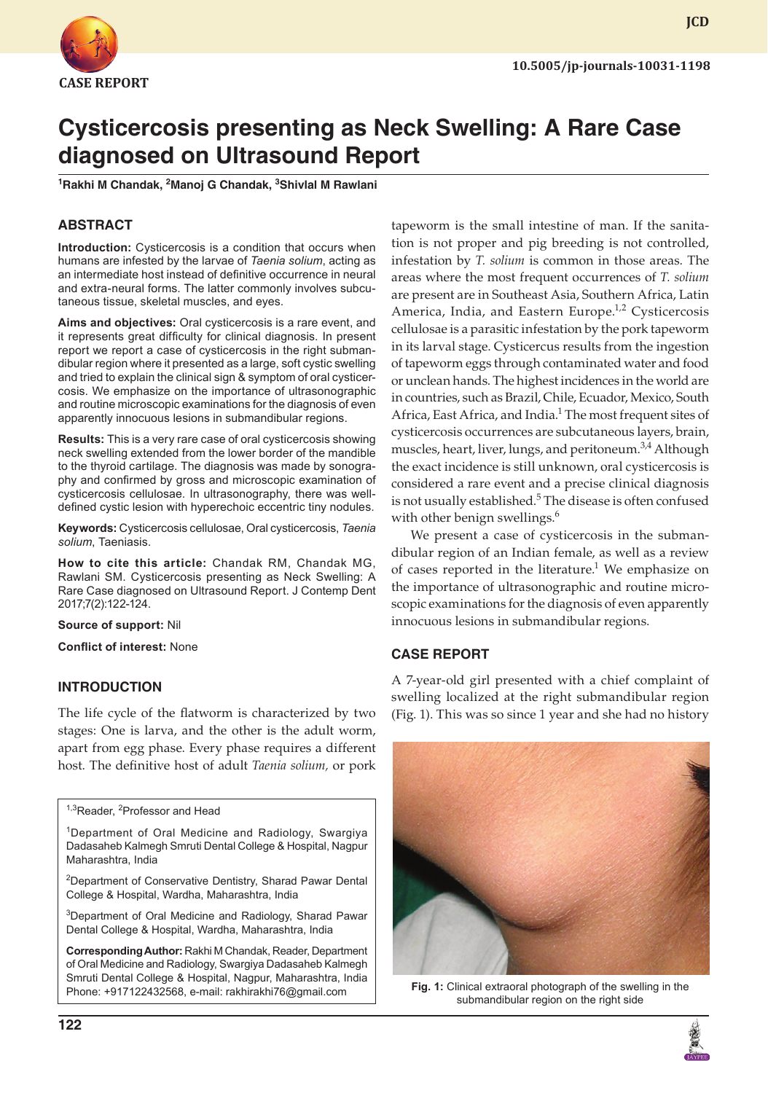

# **Cysticercosis presenting as Neck Swelling: A Rare Case diagnosed on Ultrasound Report**

<sup>1</sup>Rakhi M Chandak, <sup>2</sup>Manoj G Chandak, <sup>3</sup>Shivlal M Rawlani

#### **ABSTRACT**

**Introduction:** Cysticercosis is a condition that occurs when humans are infested by the larvae of *Taenia solium*, acting as an intermediate host instead of definitive occurrence in neural and extra-neural forms. The latter commonly involves subcutaneous tissue, skeletal muscles, and eyes.

**Aims and objectives:** Oral cysticercosis is a rare event, and it represents great difficulty for clinical diagnosis. In present report we report a case of cysticercosis in the right submandibular region where it presented as a large, soft cystic swelling and tried to explain the clinical sign & symptom of oral cysticercosis. We emphasize on the importance of ultrasonographic and routine microscopic examinations for the diagnosis of even apparently innocuous lesions in submandibular regions.

**Results:** This is a very rare case of oral cysticercosis showing neck swelling extended from the lower border of the mandible to the thyroid cartilage. The diagnosis was made by sonography and confirmed by gross and microscopic examination of cysticercosis cellulosae. In ultrasonography, there was welldefined cystic lesion with hyperechoic eccentric tiny nodules.

**Keywords:** Cysticercosis cellulosae, Oral cysticercosis, *Taenia solium*, Taeniasis.

**How to cite this article:** Chandak RM, Chandak MG, Rawlani SM. Cysticercosis presenting as Neck Swelling: A Rare Case diagnosed on Ultrasound Report. J Contemp Dent 2017;7(2):122-124.

**Source of support:** Nil

**Conflict of interest:** None

#### **INTRODUCTION**

The life cycle of the flatworm is characterized by two stages: One is larva, and the other is the adult worm, apart from egg phase. Every phase requires a different host. The definitive host of adult *Taenia solium,* or pork

<sup>1,3</sup>Reader, <sup>2</sup>Professor and Head

1Department of Oral Medicine and Radiology, Swargiya Dadasaheb Kalmegh Smruti Dental College & Hospital, Nagpur Maharashtra, India

<sup>2</sup>Department of Conservative Dentistry, Sharad Pawar Dental College & Hospital, Wardha, Maharashtra, India

<sup>3</sup>Department of Oral Medicine and Radiology, Sharad Pawar Dental College & Hospital, Wardha, Maharashtra, India

**Corresponding Author:** Rakhi M Chandak, Reader, Department of Oral Medicine and Radiology, Swargiya Dadasaheb Kalmegh Smruti Dental College & Hospital, Nagpur, Maharashtra, India Phone: +917122432568, e-mail: rakhirakhi76@gmail.com

tapeworm is the small intestine of man. If the sanitation is not proper and pig breeding is not controlled, infestation by *T. solium* is common in those areas. The areas where the most frequent occurrences of *T. solium* are present are in Southeast Asia, Southern Africa, Latin America, India, and Eastern Europe.<sup>1,2</sup> Cysticercosis cellulosae is a parasitic infestation by the pork tapeworm in its larval stage. Cysticercus results from the ingestion of tapeworm eggs through contaminated water and food or unclean hands. The highest incidences in the world are in countries, such as Brazil, Chile, Ecuador, Mexico, South Africa, East Africa, and India.<sup>1</sup> The most frequent sites of cysticercosis occurrences are subcutaneous layers, brain, muscles, heart, liver, lungs, and peritoneum.<sup>3,4</sup> Although the exact incidence is still unknown, oral cysticercosis is considered a rare event and a precise clinical diagnosis is not usually established.<sup>5</sup> The disease is often confused with other benign swellings.<sup>6</sup>

We present a case of cysticercosis in the submandibular region of an Indian female, as well as a review of cases reported in the literature.<sup>1</sup> We emphasize on the importance of ultrasonographic and routine microscopic examinations for the diagnosis of even apparently innocuous lesions in submandibular regions.

### **CASE REPORT**

A 7-year-old girl presented with a chief complaint of swelling localized at the right submandibular region (Fig. 1). This was so since 1 year and she had no history



**Fig. 1:** Clinical extraoral photograph of the swelling in the submandibular region on the right side

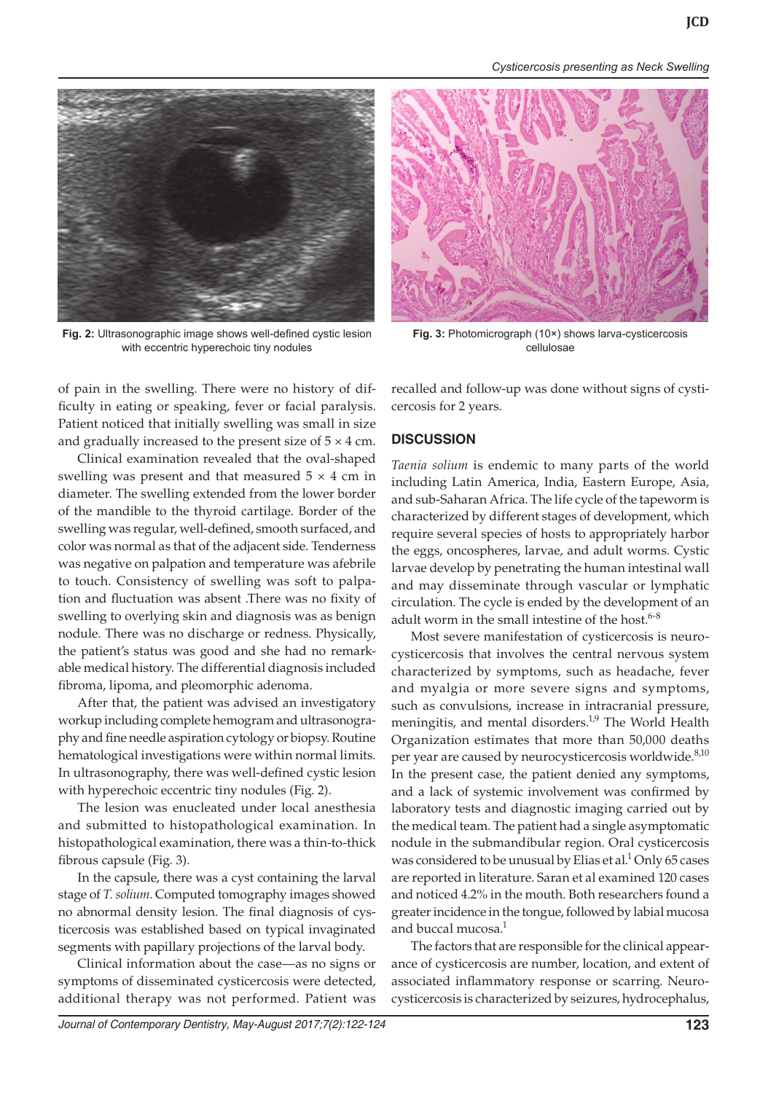*Cysticercosis presenting as Neck Swelling*



**Fig. 2:** Ultrasonographic image shows well-defined cystic lesion with eccentric hyperechoic tiny nodules



**Fig. 3:** Photomicrograph (10×) shows larva-cysticercosis cellulosae

of pain in the swelling. There were no history of difficulty in eating or speaking, fever or facial paralysis. Patient noticed that initially swelling was small in size and gradually increased to the present size of  $5 \times 4$  cm.

Clinical examination revealed that the oval-shaped swelling was present and that measured  $5 \times 4$  cm in diameter. The swelling extended from the lower border of the mandible to the thyroid cartilage. Border of the swelling was regular, well-defined, smooth surfaced, and color was normal as that of the adjacent side. Tenderness was negative on palpation and temperature was afebrile to touch. Consistency of swelling was soft to palpation and fluctuation was absent .There was no fixity of swelling to overlying skin and diagnosis was as benign nodule. There was no discharge or redness. Physically, the patient's status was good and she had no remarkable medical history. The differential diagnosis included fibroma, lipoma, and pleomorphic adenoma.

After that, the patient was advised an investigatory workup including complete hemogram and ultrasonography and fine needle aspiration cytology or biopsy. Routine hematological investigations were within normal limits. In ultrasonography, there was well-defined cystic lesion with hyperechoic eccentric tiny nodules (Fig. 2).

The lesion was enucleated under local anesthesia and submitted to histopathological examination. In histopathological examination, there was a thin-to-thick fibrous capsule (Fig. 3).

In the capsule, there was a cyst containing the larval stage of *T. solium*. Computed tomography images showed no abnormal density lesion. The final diagnosis of cysticercosis was established based on typical invaginated segments with papillary projections of the larval body.

Clinical information about the case—as no signs or symptoms of disseminated cysticercosis were detected, additional therapy was not performed. Patient was recalled and follow-up was done without signs of cysticercosis for 2 years.

### **DISCUSSION**

*Taenia solium* is endemic to many parts of the world including Latin America, India, Eastern Europe, Asia, and sub-Saharan Africa. The life cycle of the tapeworm is characterized by different stages of development, which require several species of hosts to appropriately harbor the eggs, oncospheres, larvae, and adult worms. Cystic larvae develop by penetrating the human intestinal wall and may disseminate through vascular or lymphatic circulation. The cycle is ended by the development of an adult worm in the small intestine of the host. $6-8$ 

Most severe manifestation of cysticercosis is neurocysticercosis that involves the central nervous system characterized by symptoms, such as headache, fever and myalgia or more severe signs and symptoms, such as convulsions, increase in intracranial pressure, meningitis, and mental disorders.<sup>1,9</sup> The World Health Organization estimates that more than 50,000 deaths per year are caused by neurocysticercosis worldwide.<sup>8,10</sup> In the present case, the patient denied any symptoms, and a lack of systemic involvement was confirmed by laboratory tests and diagnostic imaging carried out by the medical team. The patient had a single asymptomatic nodule in the submandibular region. Oral cysticercosis was considered to be unusual by Elias et al.<sup>1</sup> Only 65 cases are reported in literature. Saran et al examined 120 cases and noticed 4.2% in the mouth. Both researchers found a greater incidence in the tongue, followed by labial mucosa and buccal mucosa. $<sup>1</sup>$ </sup>

The factors that are responsible for the clinical appearance of cysticercosis are number, location, and extent of associated inflammatory response or scarring. Neurocysticercosis is characterized by seizures, hydrocephalus,